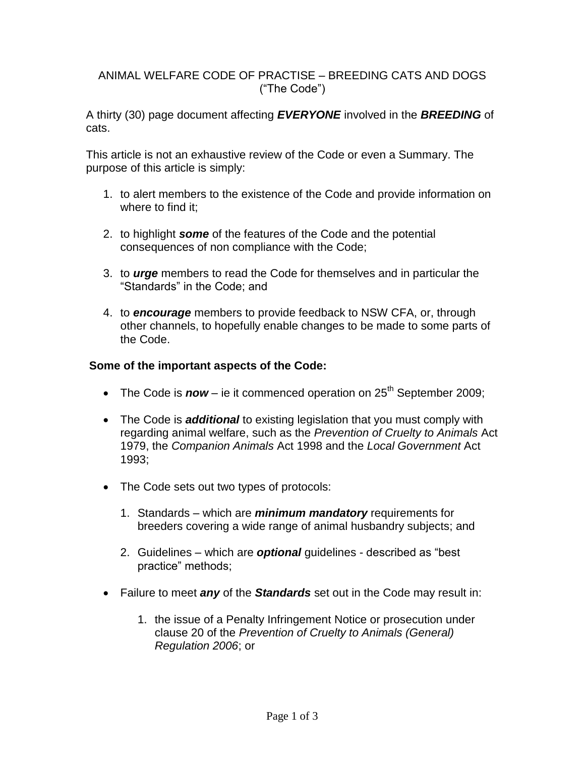## ANIMAL WELFARE CODE OF PRACTISE – BREEDING CATS AND DOGS ("The Code")

A thirty (30) page document affecting *EVERYONE* involved in the *BREEDING* of cats.

This article is not an exhaustive review of the Code or even a Summary. The purpose of this article is simply:

- 1. to alert members to the existence of the Code and provide information on where to find it;
- 2. to highlight *some* of the features of the Code and the potential consequences of non compliance with the Code;
- 3. to *urge* members to read the Code for themselves and in particular the "Standards" in the Code; and
- 4. to *encourage* members to provide feedback to NSW CFA, or, through other channels, to hopefully enable changes to be made to some parts of the Code.

## **Some of the important aspects of the Code:**

- The Code is **now** ie it commenced operation on 25<sup>th</sup> September 2009;
- The Code is *additional* to existing legislation that you must comply with regarding animal welfare, such as the *Prevention of Cruelty to Animals* Act 1979, the *Companion Animals* Act 1998 and the *Local Government* Act 1993;
- The Code sets out two types of protocols:
	- 1. Standards which are *minimum mandatory* requirements for breeders covering a wide range of animal husbandry subjects; and
	- 2. Guidelines which are *optional* guidelines described as "best practice" methods;
- Failure to meet *any* of the *Standards* set out in the Code may result in:
	- 1. the issue of a Penalty Infringement Notice or prosecution under clause 20 of the *Prevention of Cruelty to Animals (General) Regulation 2006*; or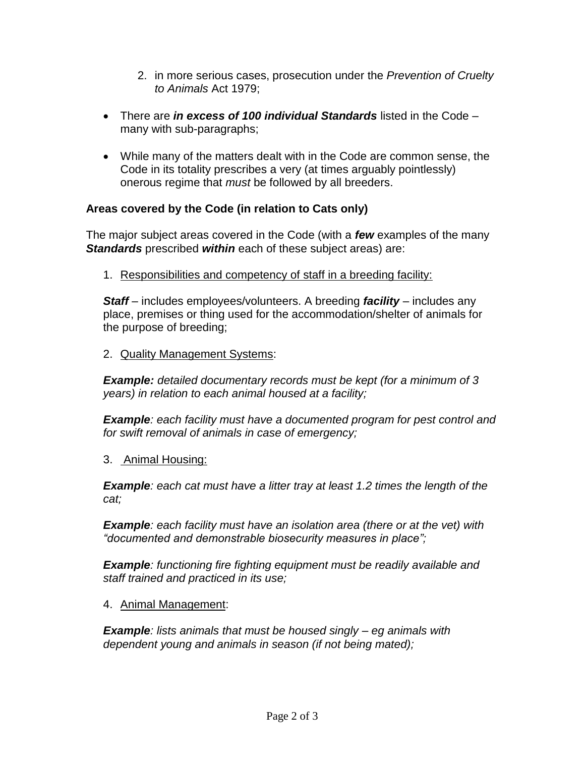- 2. in more serious cases, prosecution under the *Prevention of Cruelty to Animals* Act 1979;
- There are *in excess of 100 individual Standards* listed in the Code many with sub-paragraphs;
- While many of the matters dealt with in the Code are common sense, the Code in its totality prescribes a very (at times arguably pointlessly) onerous regime that *must* be followed by all breeders.

## **Areas covered by the Code (in relation to Cats only)**

The major subject areas covered in the Code (with a *few* examples of the many *Standards* prescribed *within* each of these subject areas) are:

1. Responsibilities and competency of staff in a breeding facility:

*Staff* – includes employees/volunteers. A breeding *facility* – includes any place, premises or thing used for the accommodation/shelter of animals for the purpose of breeding;

2. Quality Management Systems:

*Example: detailed documentary records must be kept (for a minimum of 3 years) in relation to each animal housed at a facility;*

*Example: each facility must have a documented program for pest control and for swift removal of animals in case of emergency;*

3. Animal Housing:

*Example: each cat must have a litter tray at least 1.2 times the length of the cat;*

*Example: each facility must have an isolation area (there or at the vet) with "documented and demonstrable biosecurity measures in place";*

*Example: functioning fire fighting equipment must be readily available and staff trained and practiced in its use;*

4. Animal Management:

*Example: lists animals that must be housed singly – eg animals with dependent young and animals in season (if not being mated);*